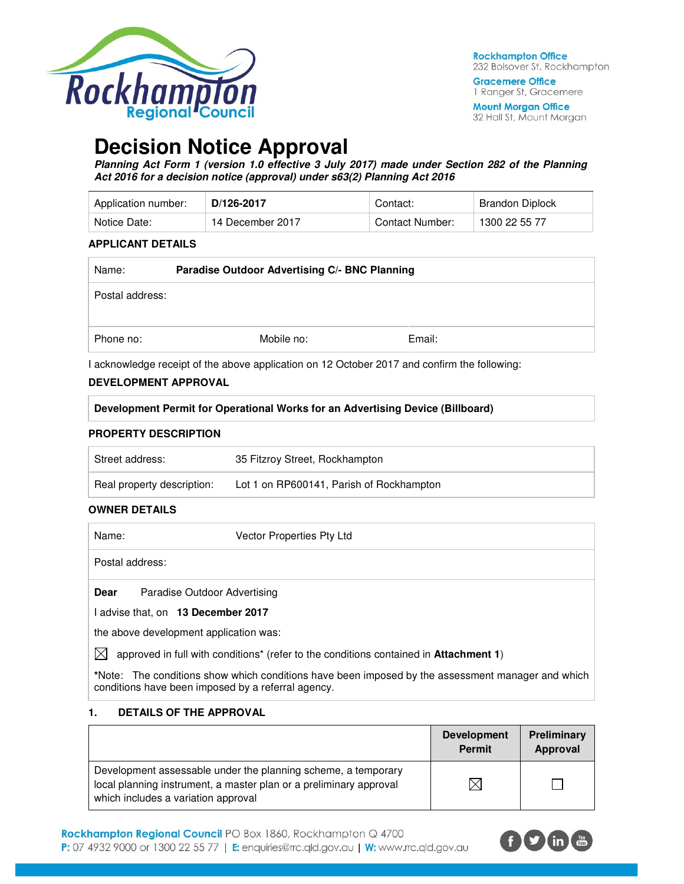

**Gracemere Office** 1 Ranger St, Gracemere

**Mount Morgan Office** 32 Hall St, Mount Morgan

## **Decision Notice Approval**

**Planning Act Form 1 (version 1.0 effective 3 July 2017) made under Section 282 of the Planning Act 2016 for a decision notice (approval) under s63(2) Planning Act 2016** 

| Application number: | D/126-2017       | Contact:        | Brandon Diplock |
|---------------------|------------------|-----------------|-----------------|
| Notice Date:        | 14 December 2017 | Contact Number: | 1300 22 55 77   |

#### **APPLICANT DETAILS**

| Name:           | Paradise Outdoor Advertising C/- BNC Planning |            |        |
|-----------------|-----------------------------------------------|------------|--------|
| Postal address: |                                               |            |        |
| Phone no:       |                                               | Mobile no: | Email: |

I acknowledge receipt of the above application on 12 October 2017 and confirm the following:

#### **DEVELOPMENT APPROVAL**

| Development Permit for Operational Works for an Advertising Device (Billboard) |  |
|--------------------------------------------------------------------------------|--|
|--------------------------------------------------------------------------------|--|

#### **PROPERTY DESCRIPTION**

| Street address:            | 35 Fitzroy Street, Rockhampton           |
|----------------------------|------------------------------------------|
| Real property description: | Lot 1 on RP600141, Parish of Rockhampton |

#### **OWNER DETAILS**

| Name:           | Vector Properties Pty Ltd                                                             |
|-----------------|---------------------------------------------------------------------------------------|
| Postal address: |                                                                                       |
| Dear            | Paradise Outdoor Advertising                                                          |
|                 | I advise that, on 13 December 2017                                                    |
|                 | the above development application was:                                                |
|                 | approved in full with conditions* (refer to the conditions contained in Attachment 1) |

**\***Note:The conditions show which conditions have been imposed by the assessment manager and which conditions have been imposed by a referral agency.

#### **1. DETAILS OF THE APPROVAL**

|                                                                                                                                                                            | <b>Development</b><br><b>Permit</b> | Preliminary<br>Approval |
|----------------------------------------------------------------------------------------------------------------------------------------------------------------------------|-------------------------------------|-------------------------|
| Development assessable under the planning scheme, a temporary<br>local planning instrument, a master plan or a preliminary approval<br>which includes a variation approval |                                     |                         |

Rockhampton Regional Council PO Box 1860, Rockhampton Q 4700 P: 07 4932 9000 or 1300 22 55 77 | E: enquiries@rrc.qld.gov.au | W: www.rrc.qld.gov.au

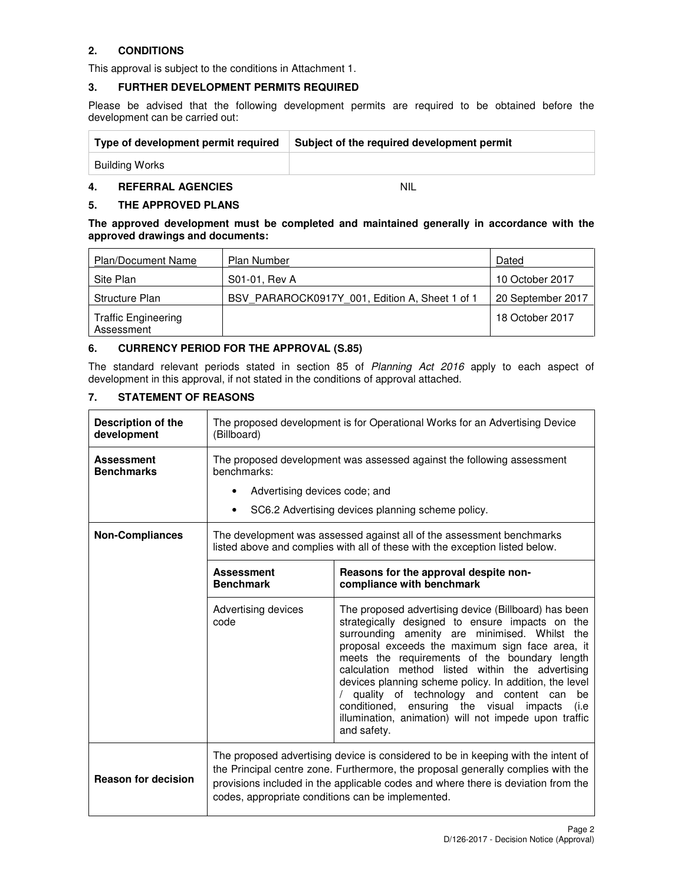## **2. CONDITIONS**

This approval is subject to the conditions in Attachment 1.

## **3. FURTHER DEVELOPMENT PERMITS REQUIRED**

Please be advised that the following development permits are required to be obtained before the development can be carried out:

| Type of development permit required | Subject of the required development permit |
|-------------------------------------|--------------------------------------------|
| Building Works                      |                                            |

#### **4. REFERRAL AGENCIES** NIL

### **5. THE APPROVED PLANS**

**The approved development must be completed and maintained generally in accordance with the approved drawings and documents:** 

| <b>Plan/Document Name</b>                | <b>Plan Number</b>                             | Dated             |
|------------------------------------------|------------------------------------------------|-------------------|
| Site Plan                                | S01-01, Rev A                                  | 10 October 2017   |
| Structure Plan                           | BSV PARAROCK0917Y 001, Edition A, Sheet 1 of 1 | 20 September 2017 |
| <b>Traffic Engineering</b><br>Assessment |                                                | 18 October 2017   |

### **6. CURRENCY PERIOD FOR THE APPROVAL (S.85)**

The standard relevant periods stated in section 85 of Planning Act 2016 apply to each aspect of development in this approval, if not stated in the conditions of approval attached.

## **7. STATEMENT OF REASONS**

| <b>Description of the</b><br>development | The proposed development is for Operational Works for an Advertising Device<br>(Billboard)                                                                                                                                                                                                                      |                                                                                                                                                                                                                                                                                                                                                                                                                                                                                                                                                          |  |
|------------------------------------------|-----------------------------------------------------------------------------------------------------------------------------------------------------------------------------------------------------------------------------------------------------------------------------------------------------------------|----------------------------------------------------------------------------------------------------------------------------------------------------------------------------------------------------------------------------------------------------------------------------------------------------------------------------------------------------------------------------------------------------------------------------------------------------------------------------------------------------------------------------------------------------------|--|
| <b>Assessment</b><br><b>Benchmarks</b>   | The proposed development was assessed against the following assessment<br>benchmarks:<br>Advertising devices code; and<br>٠                                                                                                                                                                                     |                                                                                                                                                                                                                                                                                                                                                                                                                                                                                                                                                          |  |
|                                          | $\bullet$                                                                                                                                                                                                                                                                                                       | SC6.2 Advertising devices planning scheme policy.                                                                                                                                                                                                                                                                                                                                                                                                                                                                                                        |  |
| <b>Non-Compliances</b>                   | The development was assessed against all of the assessment benchmarks<br>listed above and complies with all of these with the exception listed below.                                                                                                                                                           |                                                                                                                                                                                                                                                                                                                                                                                                                                                                                                                                                          |  |
|                                          | <b>Assessment</b><br><b>Benchmark</b>                                                                                                                                                                                                                                                                           | Reasons for the approval despite non-<br>compliance with benchmark                                                                                                                                                                                                                                                                                                                                                                                                                                                                                       |  |
|                                          | Advertising devices<br>code                                                                                                                                                                                                                                                                                     | The proposed advertising device (Billboard) has been<br>strategically designed to ensure impacts on the<br>surrounding amenity are minimised. Whilst the<br>proposal exceeds the maximum sign face area, it<br>meets the requirements of the boundary length<br>calculation method listed within the advertising<br>devices planning scheme policy. In addition, the level<br>quality of technology and content can<br>be<br>conditioned, ensuring the visual<br>impacts<br>(i.e<br>illumination, animation) will not impede upon traffic<br>and safety. |  |
| <b>Reason for decision</b>               | The proposed advertising device is considered to be in keeping with the intent of<br>the Principal centre zone. Furthermore, the proposal generally complies with the<br>provisions included in the applicable codes and where there is deviation from the<br>codes, appropriate conditions can be implemented. |                                                                                                                                                                                                                                                                                                                                                                                                                                                                                                                                                          |  |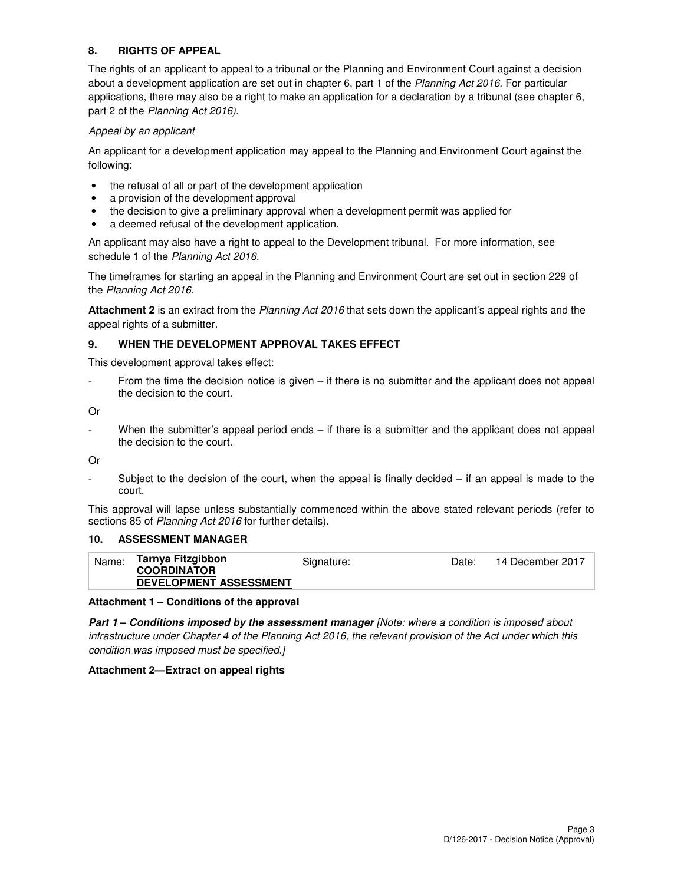### **8. RIGHTS OF APPEAL**

The rights of an applicant to appeal to a tribunal or the Planning and Environment Court against a decision about a development application are set out in chapter 6, part 1 of the Planning Act 2016. For particular applications, there may also be a right to make an application for a declaration by a tribunal (see chapter 6, part 2 of the Planning Act 2016).

#### Appeal by an applicant

An applicant for a development application may appeal to the Planning and Environment Court against the following:

- the refusal of all or part of the development application
- a provision of the development approval
- the decision to give a preliminary approval when a development permit was applied for
- a deemed refusal of the development application.

An applicant may also have a right to appeal to the Development tribunal. For more information, see schedule 1 of the Planning Act 2016.

The timeframes for starting an appeal in the Planning and Environment Court are set out in section 229 of the Planning Act 2016.

**Attachment 2** is an extract from the Planning Act 2016 that sets down the applicant's appeal rights and the appeal rights of a submitter.

### **9. WHEN THE DEVELOPMENT APPROVAL TAKES EFFECT**

This development approval takes effect:

From the time the decision notice is given  $-$  if there is no submitter and the applicant does not appeal the decision to the court.

Or

When the submitter's appeal period ends  $-$  if there is a submitter and the applicant does not appeal the decision to the court.

Or

- Subject to the decision of the court, when the appeal is finally decided – if an appeal is made to the court.

This approval will lapse unless substantially commenced within the above stated relevant periods (refer to sections 85 of Planning Act 2016 for further details).

#### **10. ASSESSMENT MANAGER**

| <b>COORDINATOR</b><br><b>DEVELOPMENT ASSESSMENT</b> |
|-----------------------------------------------------|
|-----------------------------------------------------|

#### **Attachment 1 – Conditions of the approval**

**Part 1 – Conditions imposed by the assessment manager** [Note: where a condition is imposed about infrastructure under Chapter 4 of the Planning Act 2016, the relevant provision of the Act under which this condition was imposed must be specified.]

#### **Attachment 2—Extract on appeal rights**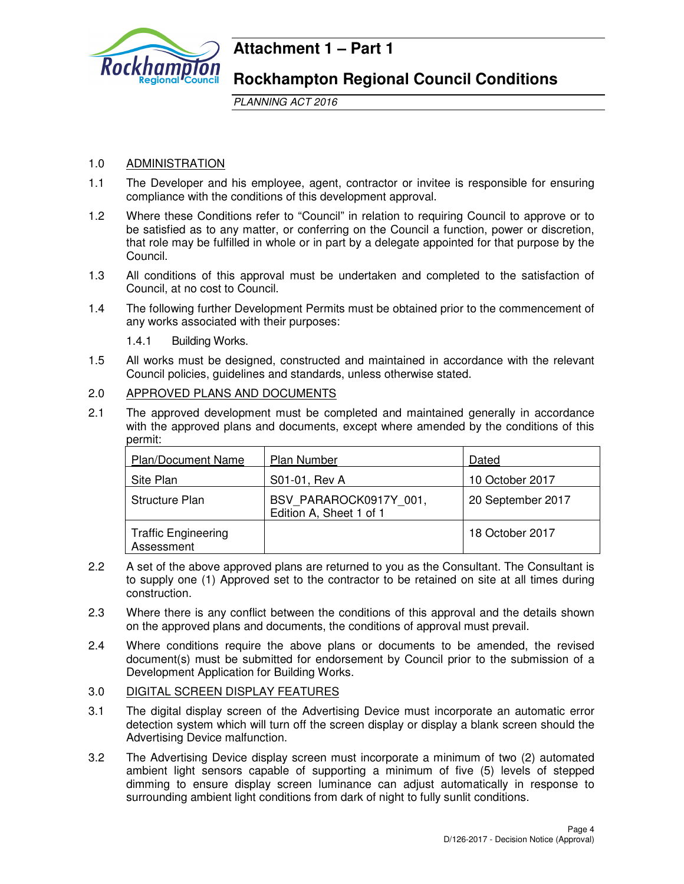

## **Attachment 1 – Part 1**

**Rockhampton Regional Council Conditions** 

PLANNING ACT 2016

## 1.0 ADMINISTRATION

- 1.1 The Developer and his employee, agent, contractor or invitee is responsible for ensuring compliance with the conditions of this development approval.
- 1.2 Where these Conditions refer to "Council" in relation to requiring Council to approve or to be satisfied as to any matter, or conferring on the Council a function, power or discretion, that role may be fulfilled in whole or in part by a delegate appointed for that purpose by the Council.
- 1.3 All conditions of this approval must be undertaken and completed to the satisfaction of Council, at no cost to Council.
- 1.4 The following further Development Permits must be obtained prior to the commencement of any works associated with their purposes:
	- 1.4.1 Building Works.
- 1.5 All works must be designed, constructed and maintained in accordance with the relevant Council policies, guidelines and standards, unless otherwise stated.
- 2.0 APPROVED PLANS AND DOCUMENTS
- 2.1 The approved development must be completed and maintained generally in accordance with the approved plans and documents, except where amended by the conditions of this permit:

| <b>Plan/Document Name</b>                | <b>Plan Number</b>                                | Dated             |
|------------------------------------------|---------------------------------------------------|-------------------|
| Site Plan                                | S01-01, Rev A                                     | 10 October 2017   |
| Structure Plan                           | BSV PARAROCK0917Y 001,<br>Edition A, Sheet 1 of 1 | 20 September 2017 |
| <b>Traffic Engineering</b><br>Assessment |                                                   | 18 October 2017   |

- 2.2 A set of the above approved plans are returned to you as the Consultant. The Consultant is to supply one (1) Approved set to the contractor to be retained on site at all times during construction.
- 2.3 Where there is any conflict between the conditions of this approval and the details shown on the approved plans and documents, the conditions of approval must prevail.
- 2.4 Where conditions require the above plans or documents to be amended, the revised document(s) must be submitted for endorsement by Council prior to the submission of a Development Application for Building Works.
- 3.0 DIGITAL SCREEN DISPLAY FEATURES
- 3.1 The digital display screen of the Advertising Device must incorporate an automatic error detection system which will turn off the screen display or display a blank screen should the Advertising Device malfunction.
- 3.2 The Advertising Device display screen must incorporate a minimum of two (2) automated ambient light sensors capable of supporting a minimum of five (5) levels of stepped dimming to ensure display screen luminance can adjust automatically in response to surrounding ambient light conditions from dark of night to fully sunlit conditions.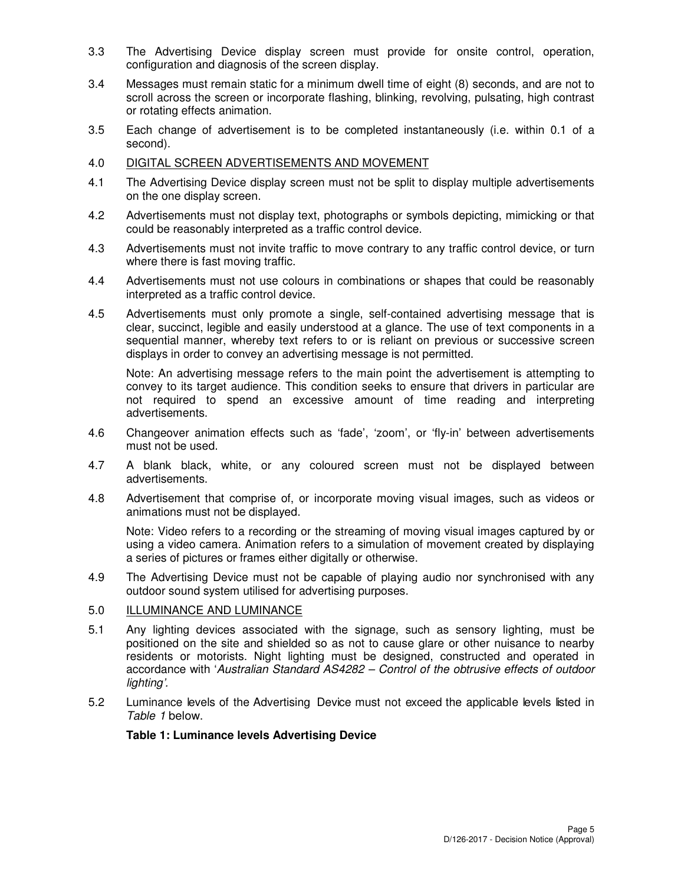- 3.3 The Advertising Device display screen must provide for onsite control, operation, configuration and diagnosis of the screen display.
- 3.4 Messages must remain static for a minimum dwell time of eight (8) seconds, and are not to scroll across the screen or incorporate flashing, blinking, revolving, pulsating, high contrast or rotating effects animation.
- 3.5 Each change of advertisement is to be completed instantaneously (i.e. within 0.1 of a second).
- 4.0 DIGITAL SCREEN ADVERTISEMENTS AND MOVEMENT
- 4.1 The Advertising Device display screen must not be split to display multiple advertisements on the one display screen.
- 4.2 Advertisements must not display text, photographs or symbols depicting, mimicking or that could be reasonably interpreted as a traffic control device.
- 4.3 Advertisements must not invite traffic to move contrary to any traffic control device, or turn where there is fast moving traffic.
- 4.4 Advertisements must not use colours in combinations or shapes that could be reasonably interpreted as a traffic control device.
- 4.5 Advertisements must only promote a single, self-contained advertising message that is clear, succinct, legible and easily understood at a glance. The use of text components in a sequential manner, whereby text refers to or is reliant on previous or successive screen displays in order to convey an advertising message is not permitted.

Note: An advertising message refers to the main point the advertisement is attempting to convey to its target audience. This condition seeks to ensure that drivers in particular are not required to spend an excessive amount of time reading and interpreting advertisements.

- 4.6 Changeover animation effects such as 'fade', 'zoom', or 'fly-in' between advertisements must not be used.
- 4.7 A blank black, white, or any coloured screen must not be displayed between advertisements.
- 4.8 Advertisement that comprise of, or incorporate moving visual images, such as videos or animations must not be displayed.

Note: Video refers to a recording or the streaming of moving visual images captured by or using a video camera. Animation refers to a simulation of movement created by displaying a series of pictures or frames either digitally or otherwise.

- 4.9 The Advertising Device must not be capable of playing audio nor synchronised with any outdoor sound system utilised for advertising purposes.
- 5.0 ILLUMINANCE AND LUMINANCE
- 5.1 Any lighting devices associated with the signage, such as sensory lighting, must be positioned on the site and shielded so as not to cause glare or other nuisance to nearby residents or motorists. Night lighting must be designed, constructed and operated in accordance with 'Australian Standard AS4282 – Control of the obtrusive effects of outdoor lighting'.
- 5.2 Luminance levels of the Advertising Device must not exceed the applicable levels listed in Table 1 below.

#### **Table 1: Luminance levels Advertising Device**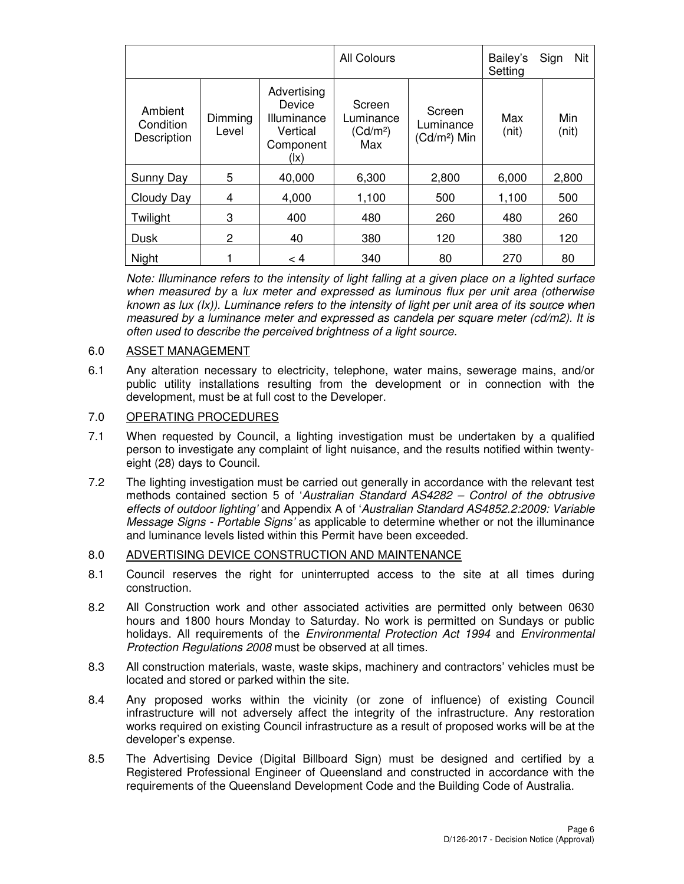|                                     |                  |                                                                                | All Colours                                        |                                      | Bailey's<br>Setting | Nit<br>Sign  |
|-------------------------------------|------------------|--------------------------------------------------------------------------------|----------------------------------------------------|--------------------------------------|---------------------|--------------|
| Ambient<br>Condition<br>Description | Dimming<br>Level | Advertising<br>Device<br>Illuminance<br>Vertical<br>Component<br>$( x\rangle)$ | Screen<br>Luminance<br>(Cd/m <sup>2</sup> )<br>Max | Screen<br>Luminance<br>$(Cd/m2)$ Min | Max<br>(nit)        | Min<br>(nit) |
| Sunny Day                           | 5                | 40,000                                                                         | 6,300                                              | 2,800                                | 6,000               | 2,800        |
| Cloudy Day                          | 4                | 4,000                                                                          | 1,100                                              | 500                                  | 1,100               | 500          |
| Twilight                            | 3                | 400                                                                            | 480                                                | 260                                  | 480                 | 260          |
| Dusk                                | 2                | 40                                                                             | 380                                                | 120                                  | 380                 | 120          |
| Night                               |                  | < 4                                                                            | 340                                                | 80                                   | 270                 | 80           |

*)* known as lux (Ix)). Luminance refers to the intensity of light per unit area of its source when Note: Illuminance refers to the intensity of light falling at a given place on a lighted surface when measured by a lux meter and expressed as luminous flux per unit area (otherwise measured by a luminance meter and expressed as candela per square meter (cd/m2). It is often used to describe the perceived brightness of a light source.

## 6.0 ASSET MANAGEMENT

6.1 Any alteration necessary to electricity, telephone, water mains, sewerage mains, and/or public utility installations resulting from the development or in connection with the development, must be at full cost to the Developer.

### 7.0 OPERATING PROCEDURES

- 7.1 When requested by Council, a lighting investigation must be undertaken by a qualified person to investigate any complaint of light nuisance, and the results notified within twentyeight (28) days to Council.
- 7.2 The lighting investigation must be carried out generally in accordance with the relevant test methods contained section 5 of 'Australian Standard AS4282 – Control of the obtrusive effects of outdoor lighting' and Appendix A of 'Australian Standard AS4852.2:2009: Variable Message Signs - Portable Signs' as applicable to determine whether or not the illuminance and luminance levels listed within this Permit have been exceeded.

#### 8.0 ADVERTISING DEVICE CONSTRUCTION AND MAINTENANCE

- 8.1 Council reserves the right for uninterrupted access to the site at all times during construction.
- 8.2 All Construction work and other associated activities are permitted only between 0630 hours and 1800 hours Monday to Saturday. No work is permitted on Sundays or public holidays. All requirements of the *Environmental Protection Act 1994* and *Environmental* Protection Regulations 2008 must be observed at all times.
- 8.3 All construction materials, waste, waste skips, machinery and contractors' vehicles must be located and stored or parked within the site.
- 8.4 Any proposed works within the vicinity (or zone of influence) of existing Council infrastructure will not adversely affect the integrity of the infrastructure. Any restoration works required on existing Council infrastructure as a result of proposed works will be at the developer's expense.
- 8.5 The Advertising Device (Digital Billboard Sign) must be designed and certified by a Registered Professional Engineer of Queensland and constructed in accordance with the requirements of the Queensland Development Code and the Building Code of Australia.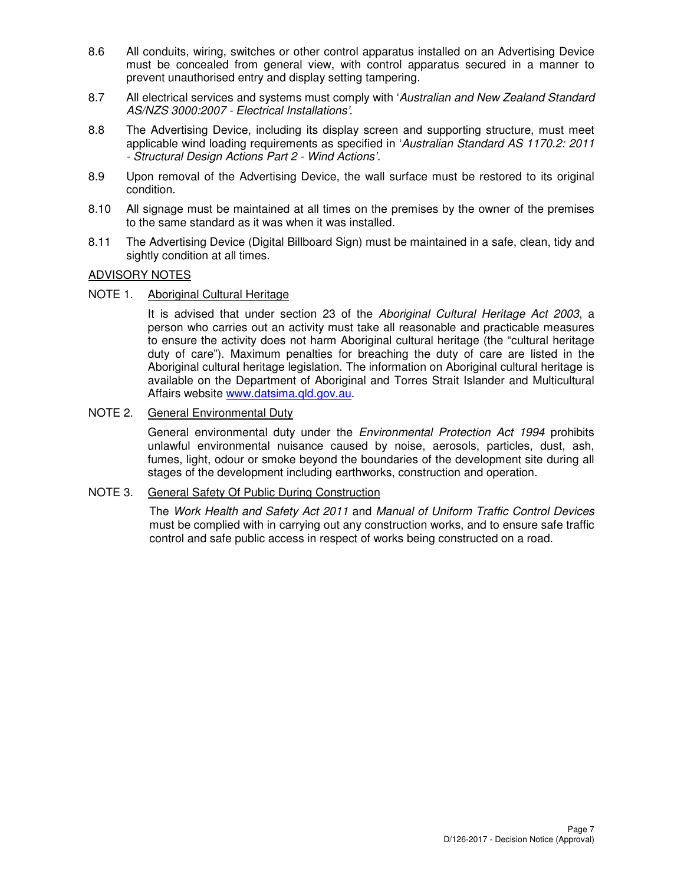- 8.6 All conduits, wiring, switches or other control apparatus installed on an Advertising Device must be concealed from general view, with control apparatus secured in a manner to prevent unauthorised entry and display setting tampering.
- 8.7 All electrical services and systems must comply with 'Australian and New Zealand Standard AS/NZS 3000:2007 - Electrical Installations'.
- 8.8 The Advertising Device, including its display screen and supporting structure, must meet applicable wind loading requirements as specified in 'Australian Standard AS 1170.2: 2011 - Structural Design Actions Part 2 - Wind Actions'.
- 8.9 Upon removal of the Advertising Device, the wall surface must be restored to its original condition.
- 8.10 All signage must be maintained at all times on the premises by the owner of the premises to the same standard as it was when it was installed.
- 8.11 The Advertising Device (Digital Billboard Sign) must be maintained in a safe, clean, tidy and sightly condition at all times.

### ADVISORY NOTES

NOTE 1. Aboriginal Cultural Heritage

It is advised that under section 23 of the Aboriginal Cultural Heritage Act 2003, a person who carries out an activity must take all reasonable and practicable measures to ensure the activity does not harm Aboriginal cultural heritage (the "cultural heritage duty of care"). Maximum penalties for breaching the duty of care are listed in the Aboriginal cultural heritage legislation. The information on Aboriginal cultural heritage is available on the Department of Aboriginal and Torres Strait Islander and Multicultural Affairs website www.datsima.qld.gov.au.

### NOTE 2. General Environmental Duty

General environmental duty under the *Environmental Protection Act 1994* prohibits unlawful environmental nuisance caused by noise, aerosols, particles, dust, ash, fumes, light, odour or smoke beyond the boundaries of the development site during all stages of the development including earthworks, construction and operation.

#### NOTE 3. General Safety Of Public During Construction

The Work Health and Safety Act 2011 and Manual of Uniform Traffic Control Devices must be complied with in carrying out any construction works, and to ensure safe traffic control and safe public access in respect of works being constructed on a road.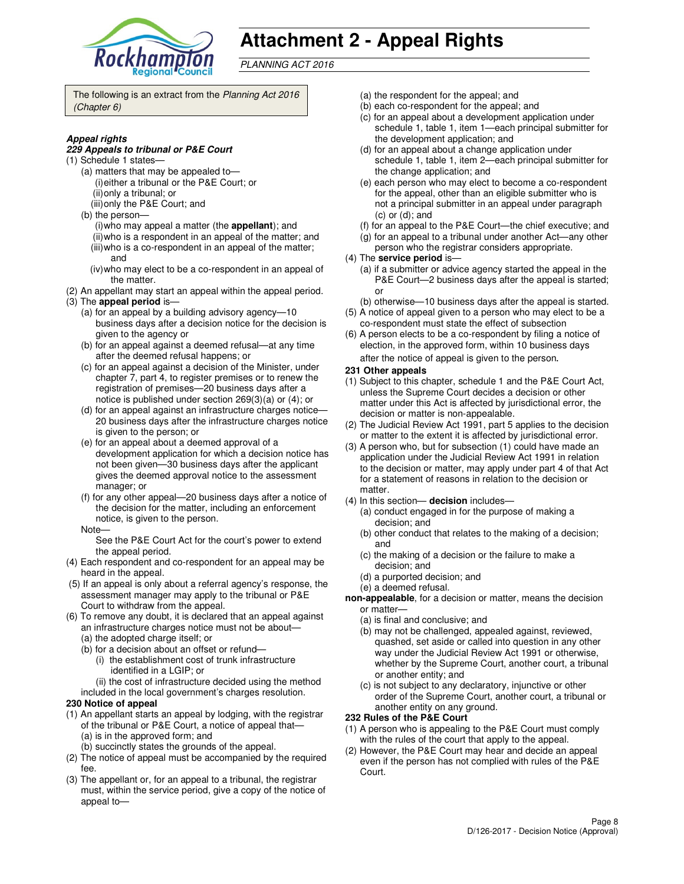

# **Attachment 2 - Appeal Rights**

PLANNING ACT 2016

The following is an extract from the Planning Act 2016 (Chapter 6)

#### **Appeal rights**

#### **229 Appeals to tribunal or P&E Court**

- (1) Schedule 1 states—
	- (a) matters that may be appealed to— (i) either a tribunal or the P&E Court; or (ii) only a tribunal; or
	- (iii) only the P&E Court; and
	- (b) the person—
		- (i) who may appeal a matter (the **appellant**); and (ii) who is a respondent in an appeal of the matter; and (iii) who is a co-respondent in an appeal of the matter;
		- and (iv) who may elect to be a co-respondent in an appeal of
- the matter. (2) An appellant may start an appeal within the appeal period.
- (3) The **appeal period** is—
	- (a) for an appeal by a building advisory agency—10 business days after a decision notice for the decision is given to the agency or
	- (b) for an appeal against a deemed refusal—at any time after the deemed refusal happens; or
	- (c) for an appeal against a decision of the Minister, under chapter 7, part 4, to register premises or to renew the registration of premises—20 business days after a notice is published under section 269(3)(a) or (4); or
	- (d) for an appeal against an infrastructure charges notice— 20 business days after the infrastructure charges notice is given to the person; or
	- (e) for an appeal about a deemed approval of a development application for which a decision notice has not been given—30 business days after the applicant gives the deemed approval notice to the assessment manager; or
	- (f) for any other appeal—20 business days after a notice of the decision for the matter, including an enforcement notice, is given to the person.
	- Note—

See the P&E Court Act for the court's power to extend the appeal period.

- (4) Each respondent and co-respondent for an appeal may be heard in the appeal.
- (5) If an appeal is only about a referral agency's response, the assessment manager may apply to the tribunal or P&E Court to withdraw from the appeal.
- (6) To remove any doubt, it is declared that an appeal against an infrastructure charges notice must not be about—
	- (a) the adopted charge itself; or
	- (b) for a decision about an offset or refund—
		- (i) the establishment cost of trunk infrastructure identified in a LGIP; or
		- (ii) the cost of infrastructure decided using the method
	- included in the local government's charges resolution.

#### **230 Notice of appeal**

- (1) An appellant starts an appeal by lodging, with the registrar of the tribunal or P&E Court, a notice of appeal that— (a) is in the approved form; and
	- (b) succinctly states the grounds of the appeal.
- (2) The notice of appeal must be accompanied by the required fee.
- (3) The appellant or, for an appeal to a tribunal, the registrar must, within the service period, give a copy of the notice of appeal to—
- (a) the respondent for the appeal; and
- (b) each co-respondent for the appeal; and
- (c) for an appeal about a development application under schedule 1, table 1, item 1—each principal submitter for the development application; and
- (d) for an appeal about a change application under schedule 1, table 1, item 2—each principal submitter for the change application; and
- (e) each person who may elect to become a co-respondent for the appeal, other than an eligible submitter who is not a principal submitter in an appeal under paragraph (c) or (d); and
- (f) for an appeal to the P&E Court—the chief executive; and
- (g) for an appeal to a tribunal under another Act—any other
- person who the registrar considers appropriate.
- (4) The **service period** is—
	- (a) if a submitter or advice agency started the appeal in the P&E Court—2 business days after the appeal is started; or
- (b) otherwise—10 business days after the appeal is started. (5) A notice of appeal given to a person who may elect to be a
- co-respondent must state the effect of subsection (6) A person elects to be a co-respondent by filing a notice of election, in the approved form, within 10 business days

after the notice of appeal is given to the person*.*

- **231 Other appeals**
- (1) Subject to this chapter, schedule 1 and the P&E Court Act, unless the Supreme Court decides a decision or other matter under this Act is affected by jurisdictional error, the decision or matter is non-appealable.
- (2) The Judicial Review Act 1991, part 5 applies to the decision or matter to the extent it is affected by jurisdictional error.
- (3) A person who, but for subsection (1) could have made an application under the Judicial Review Act 1991 in relation to the decision or matter, may apply under part 4 of that Act for a statement of reasons in relation to the decision or matter.
- (4) In this section— **decision** includes—
	- (a) conduct engaged in for the purpose of making a decision; and
	- (b) other conduct that relates to the making of a decision; and
	- (c) the making of a decision or the failure to make a decision; and
	- (d) a purported decision; and
	- (e) a deemed refusal.
- **non-appealable**, for a decision or matter, means the decision or matter—
	- (a) is final and conclusive; and
	- (b) may not be challenged, appealed against, reviewed, quashed, set aside or called into question in any other way under the Judicial Review Act 1991 or otherwise, whether by the Supreme Court, another court, a tribunal or another entity; and
	- (c) is not subject to any declaratory, injunctive or other order of the Supreme Court, another court, a tribunal or another entity on any ground.

#### **232 Rules of the P&E Court**

- (1) A person who is appealing to the P&E Court must comply with the rules of the court that apply to the appeal.
- (2) However, the P&E Court may hear and decide an appeal even if the person has not complied with rules of the P&E Court.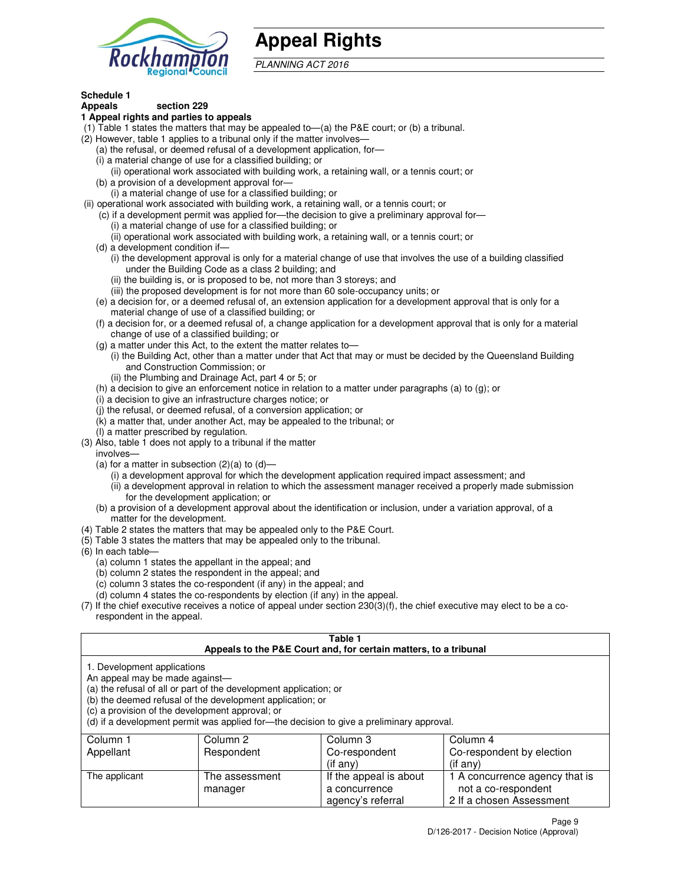

## **Appeal Rights**

PLANNING ACT 2016

#### **Schedule 1 Appeals section 229**

## **1 Appeal rights and parties to appeals**

- (1) Table 1 states the matters that may be appealed to—(a) the P&E court; or (b) a tribunal.
- (2) However, table 1 applies to a tribunal only if the matter involves—
	- (a) the refusal, or deemed refusal of a development application, for—
	- (i) a material change of use for a classified building; or
	- (ii) operational work associated with building work, a retaining wall, or a tennis court; or (b) a provision of a development approval for—
	- (i) a material change of use for a classified building; or
- (ii) operational work associated with building work, a retaining wall, or a tennis court; or
	- (c) if a development permit was applied for—the decision to give a preliminary approval for—
		- (i) a material change of use for a classified building; or
		- (ii) operational work associated with building work, a retaining wall, or a tennis court; or
	- (d) a development condition if—
		- (i) the development approval is only for a material change of use that involves the use of a building classified under the Building Code as a class 2 building; and
		- (ii) the building is, or is proposed to be, not more than 3 storeys; and
		- (iii) the proposed development is for not more than 60 sole-occupancy units; or
	- (e) a decision for, or a deemed refusal of, an extension application for a development approval that is only for a material change of use of a classified building; or
	- (f) a decision for, or a deemed refusal of, a change application for a development approval that is only for a material change of use of a classified building; or
	- (g) a matter under this Act, to the extent the matter relates to—
		- (i) the Building Act, other than a matter under that Act that may or must be decided by the Queensland Building and Construction Commission; or
		- (ii) the Plumbing and Drainage Act, part 4 or 5; or
	- (h) a decision to give an enforcement notice in relation to a matter under paragraphs (a) to (g); or
	- (i) a decision to give an infrastructure charges notice; or
	- (j) the refusal, or deemed refusal, of a conversion application; or
	- (k) a matter that, under another Act, may be appealed to the tribunal; or
	- (l) a matter prescribed by regulation.
- (3) Also, table 1 does not apply to a tribunal if the matter
- involves—
	- (a) for a matter in subsection  $(2)(a)$  to  $(d)$ 
		- (i) a development approval for which the development application required impact assessment; and
		- (ii) a development approval in relation to which the assessment manager received a properly made submission for the development application; or
	- (b) a provision of a development approval about the identification or inclusion, under a variation approval, of a matter for the development.
- (4) Table 2 states the matters that may be appealed only to the P&E Court.
- (5) Table 3 states the matters that may be appealed only to the tribunal.
- (6) In each table—
	- (a) column 1 states the appellant in the appeal; and
	- (b) column 2 states the respondent in the appeal; and
	- (c) column 3 states the co-respondent (if any) in the appeal; and
	- (d) column 4 states the co-respondents by election (if any) in the appeal.
- (7) If the chief executive receives a notice of appeal under section 230(3)(f), the chief executive may elect to be a corespondent in the appeal.

### **Table 1**

|                                                               |                                                                                                                                                                                   | Appeals to the P&E Court and, for certain matters, to a tribunal                         |                                |
|---------------------------------------------------------------|-----------------------------------------------------------------------------------------------------------------------------------------------------------------------------------|------------------------------------------------------------------------------------------|--------------------------------|
| 1. Development applications<br>An appeal may be made against— | (a) the refusal of all or part of the development application; or<br>(b) the deemed refusal of the development application; or<br>(c) a provision of the development approval; or | (d) if a development permit was applied for—the decision to give a preliminary approval. |                                |
| Column 1                                                      | Column 2                                                                                                                                                                          | Column 3                                                                                 | Column 4                       |
| Appellant                                                     | Respondent                                                                                                                                                                        | Co-respondent                                                                            | Co-respondent by election      |
|                                                               |                                                                                                                                                                                   | (if any)                                                                                 | (if any)                       |
| The applicant                                                 | The assessment                                                                                                                                                                    | If the appeal is about                                                                   | 1 A concurrence agency that is |
|                                                               | manager                                                                                                                                                                           | a concurrence                                                                            | not a co-respondent            |

agency's referral

2 If a chosen Assessment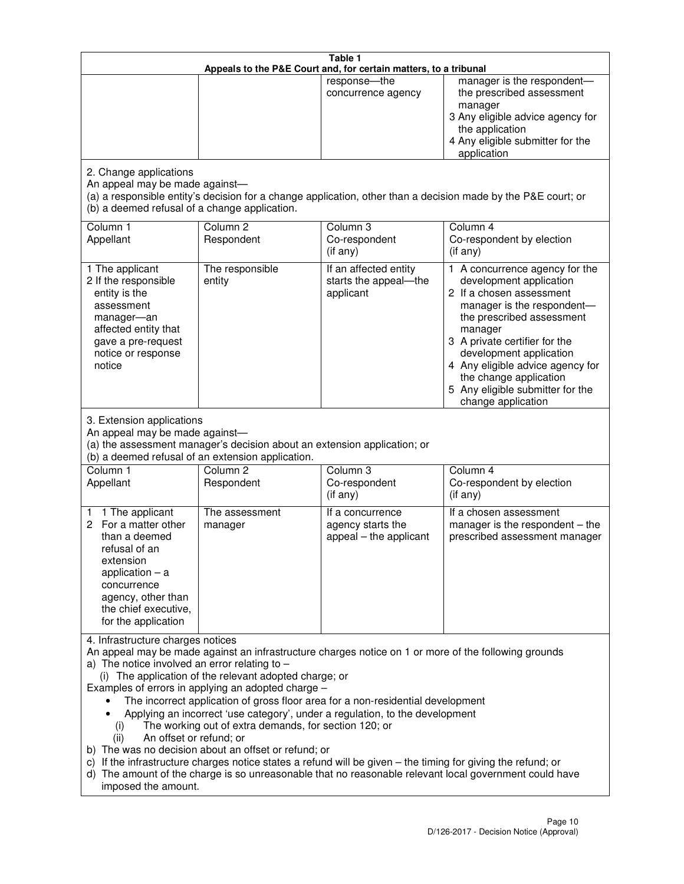|                                                                                                                                                                                                      |                                                                                                                                                                                                                               | Table 1<br>Appeals to the P&E Court and, for certain matters, to a tribunal                                                                                                                                                                                                     |                                                                                                                                                                                                                                                                                                                                                 |
|------------------------------------------------------------------------------------------------------------------------------------------------------------------------------------------------------|-------------------------------------------------------------------------------------------------------------------------------------------------------------------------------------------------------------------------------|---------------------------------------------------------------------------------------------------------------------------------------------------------------------------------------------------------------------------------------------------------------------------------|-------------------------------------------------------------------------------------------------------------------------------------------------------------------------------------------------------------------------------------------------------------------------------------------------------------------------------------------------|
|                                                                                                                                                                                                      |                                                                                                                                                                                                                               | response-the<br>concurrence agency                                                                                                                                                                                                                                              | manager is the respondent-<br>the prescribed assessment<br>manager<br>3 Any eligible advice agency for<br>the application<br>4 Any eligible submitter for the<br>application                                                                                                                                                                    |
| 2. Change applications<br>An appeal may be made against-<br>(b) a deemed refusal of a change application.                                                                                            |                                                                                                                                                                                                                               |                                                                                                                                                                                                                                                                                 | (a) a responsible entity's decision for a change application, other than a decision made by the P&E court; or                                                                                                                                                                                                                                   |
| Column 1<br>Appellant                                                                                                                                                                                | Column <sub>2</sub><br>Respondent                                                                                                                                                                                             | Column 3<br>Co-respondent<br>(if any)                                                                                                                                                                                                                                           | Column 4<br>Co-respondent by election<br>(if any)                                                                                                                                                                                                                                                                                               |
| 1 The applicant<br>2 If the responsible<br>entity is the<br>assessment<br>manager-an<br>affected entity that<br>gave a pre-request<br>notice or response<br>notice                                   | The responsible<br>entity                                                                                                                                                                                                     | If an affected entity<br>starts the appeal-the<br>applicant                                                                                                                                                                                                                     | 1 A concurrence agency for the<br>development application<br>2 If a chosen assessment<br>manager is the respondent-<br>the prescribed assessment<br>manager<br>3 A private certifier for the<br>development application<br>4 Any eligible advice agency for<br>the change application<br>5 Any eligible submitter for the<br>change application |
| 3. Extension applications<br>An appeal may be made against-<br>Column 1<br>Appellant                                                                                                                 | (a) the assessment manager's decision about an extension application; or<br>(b) a deemed refusal of an extension application.<br>Column <sub>2</sub><br>Respondent                                                            | Column 3<br>Co-respondent                                                                                                                                                                                                                                                       | Column 4<br>Co-respondent by election                                                                                                                                                                                                                                                                                                           |
| 1 The applicant<br>1<br>2 For a matter other<br>than a deemed<br>refusal of an<br>extension<br>application $-$ a<br>concurrence<br>agency, other than<br>the chief executive,<br>for the application | The assessment<br>manager                                                                                                                                                                                                     | (if any)<br>If a concurrence<br>agency starts the<br>appeal - the applicant                                                                                                                                                                                                     | (if any)<br>If a chosen assessment<br>manager is the respondent $-$ the<br>prescribed assessment manager                                                                                                                                                                                                                                        |
| 4. Infrastructure charges notices<br>a) The notice involved an error relating to $-$<br>(i)<br>An offset or refund; or<br>(ii)<br>imposed the amount.                                                | (i) The application of the relevant adopted charge; or<br>Examples of errors in applying an adopted charge -<br>The working out of extra demands, for section 120; or<br>b) The was no decision about an offset or refund; or | The incorrect application of gross floor area for a non-residential development<br>Applying an incorrect 'use category', under a regulation, to the development<br>c) If the infrastructure charges notice states a refund will be given - the timing for giving the refund; or | An appeal may be made against an infrastructure charges notice on 1 or more of the following grounds<br>d) The amount of the charge is so unreasonable that no reasonable relevant local government could have                                                                                                                                  |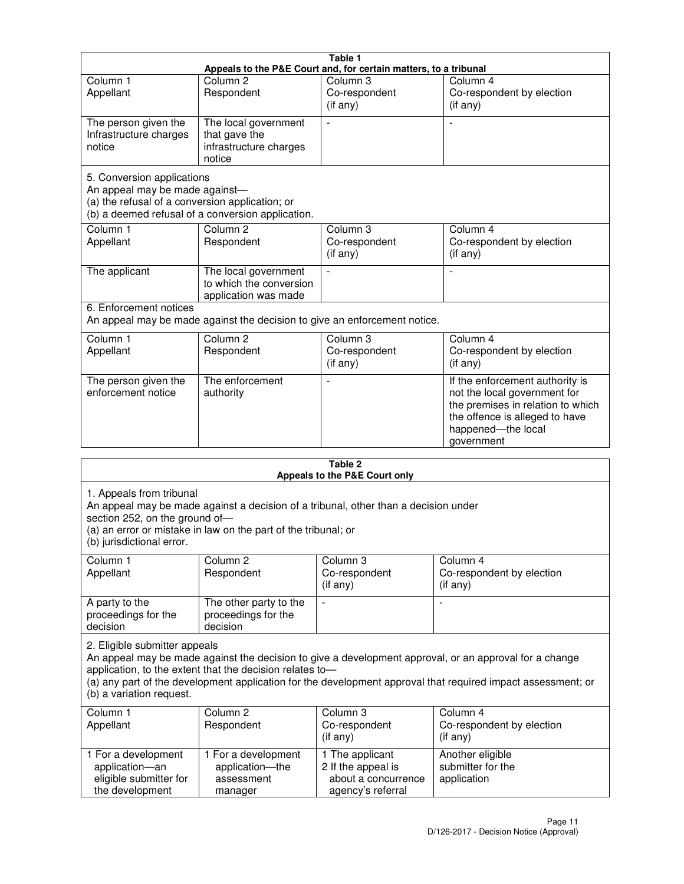|                                                                                                                 |                                                                           | Table 1                                                          |                                                                                                                                                                            |
|-----------------------------------------------------------------------------------------------------------------|---------------------------------------------------------------------------|------------------------------------------------------------------|----------------------------------------------------------------------------------------------------------------------------------------------------------------------------|
|                                                                                                                 |                                                                           | Appeals to the P&E Court and, for certain matters, to a tribunal |                                                                                                                                                                            |
| Column <sub>1</sub><br>Appellant                                                                                | Column <sub>2</sub><br>Respondent                                         | Column 3<br>Co-respondent<br>(if any)                            | Column 4<br>Co-respondent by election<br>(if any)                                                                                                                          |
| The person given the<br>Infrastructure charges<br>notice                                                        | The local government<br>that gave the<br>infrastructure charges<br>notice |                                                                  |                                                                                                                                                                            |
| 5. Conversion applications<br>An appeal may be made against-<br>(a) the refusal of a conversion application; or | (b) a deemed refusal of a conversion application.                         |                                                                  |                                                                                                                                                                            |
| Column <sub>1</sub><br>Appellant                                                                                | Column <sub>2</sub><br>Respondent                                         | Column <sub>3</sub><br>Co-respondent<br>(if any)                 | Column 4<br>Co-respondent by election<br>(if any)                                                                                                                          |
| The applicant                                                                                                   | The local government<br>to which the conversion<br>application was made   |                                                                  |                                                                                                                                                                            |
| 6. Enforcement notices                                                                                          | An appeal may be made against the decision to give an enforcement notice. |                                                                  |                                                                                                                                                                            |
| Column <sub>1</sub><br>Appellant                                                                                | Column <sub>2</sub><br>Respondent                                         | Column <sub>3</sub><br>Co-respondent<br>(if any)                 | Column 4<br>Co-respondent by election<br>(if any)                                                                                                                          |
| The person given the<br>enforcement notice                                                                      | The enforcement<br>authority                                              |                                                                  | If the enforcement authority is<br>not the local government for<br>the premises in relation to which<br>the offence is alleged to have<br>happened-the local<br>government |
|                                                                                                                 |                                                                           | 9 Ahla                                                           |                                                                                                                                                                            |

| Table 2<br>Appeals to the P&E Court only                                                |                                                                                                                                                       |                                                                                   |                                                                                                                                                                                                                        |  |
|-----------------------------------------------------------------------------------------|-------------------------------------------------------------------------------------------------------------------------------------------------------|-----------------------------------------------------------------------------------|------------------------------------------------------------------------------------------------------------------------------------------------------------------------------------------------------------------------|--|
| 1. Appeals from tribunal<br>section 252, on the ground of-<br>(b) jurisdictional error. | An appeal may be made against a decision of a tribunal, other than a decision under<br>(a) an error or mistake in law on the part of the tribunal; or |                                                                                   |                                                                                                                                                                                                                        |  |
| Column <sub>1</sub><br>Appellant                                                        | Column <sub>2</sub><br>Respondent                                                                                                                     | Column 3<br>Co-respondent<br>(if any)                                             | Column <sub>4</sub><br>Co-respondent by election<br>(if any)                                                                                                                                                           |  |
| A party to the<br>proceedings for the<br>decision                                       | The other party to the<br>proceedings for the<br>decision                                                                                             | $\blacksquare$                                                                    |                                                                                                                                                                                                                        |  |
| 2. Eligible submitter appeals<br>(b) a variation request.                               | application, to the extent that the decision relates to-                                                                                              |                                                                                   | An appeal may be made against the decision to give a development approval, or an approval for a change<br>(a) any part of the development application for the development approval that required impact assessment; or |  |
| Column 1<br>Appellant                                                                   | Column <sub>2</sub><br>Respondent                                                                                                                     | Column <sub>3</sub><br>Co-respondent<br>(i f any)                                 | Column 4<br>Co-respondent by election<br>(i f any)                                                                                                                                                                     |  |
| 1 For a development<br>application-an<br>eligible submitter for<br>the development      | 1 For a development<br>application-the<br>assessment<br>manager                                                                                       | 1 The applicant<br>2 If the appeal is<br>about a concurrence<br>agency's referral | Another eligible<br>submitter for the<br>application                                                                                                                                                                   |  |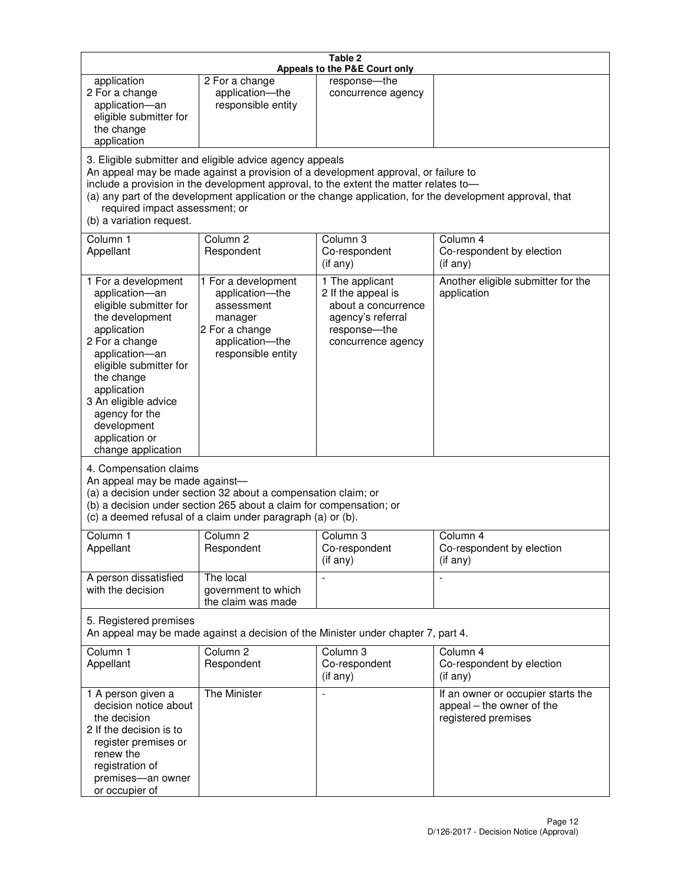|                                                                                                                                                                                                                                                                                               |                                                                                                                                                                                                      | Table 2<br>Appeals to the P&E Court only                                                                                                                                    |                                                                                                           |
|-----------------------------------------------------------------------------------------------------------------------------------------------------------------------------------------------------------------------------------------------------------------------------------------------|------------------------------------------------------------------------------------------------------------------------------------------------------------------------------------------------------|-----------------------------------------------------------------------------------------------------------------------------------------------------------------------------|-----------------------------------------------------------------------------------------------------------|
| application<br>2 For a change<br>application-an<br>eligible submitter for<br>the change<br>application                                                                                                                                                                                        | 2 For a change<br>application-the<br>responsible entity                                                                                                                                              | response-the<br>concurrence agency                                                                                                                                          |                                                                                                           |
| required impact assessment; or<br>(b) a variation request.                                                                                                                                                                                                                                    | 3. Eligible submitter and eligible advice agency appeals                                                                                                                                             | An appeal may be made against a provision of a development approval, or failure to<br>include a provision in the development approval, to the extent the matter relates to- | (a) any part of the development application or the change application, for the development approval, that |
| Column 1<br>Appellant                                                                                                                                                                                                                                                                         | Column <sub>2</sub><br>Respondent                                                                                                                                                                    | Column <sub>3</sub><br>Co-respondent<br>(if any)                                                                                                                            | Column 4<br>Co-respondent by election<br>(if any)                                                         |
| 1 For a development<br>application-an<br>eligible submitter for<br>the development<br>application<br>2 For a change<br>application-an<br>eligible submitter for<br>the change<br>application<br>3 An eligible advice<br>agency for the<br>development<br>application or<br>change application | 1 For a development<br>application-the<br>assessment<br>manager<br>2 For a change<br>application-the<br>responsible entity                                                                           | 1 The applicant<br>2 If the appeal is<br>about a concurrence<br>agency's referral<br>response-the<br>concurrence agency                                                     | Another eligible submitter for the<br>application                                                         |
| 4. Compensation claims<br>An appeal may be made against-                                                                                                                                                                                                                                      | (a) a decision under section 32 about a compensation claim; or<br>(b) a decision under section 265 about a claim for compensation; or<br>(c) a deemed refusal of a claim under paragraph (a) or (b). |                                                                                                                                                                             |                                                                                                           |
| Column 1<br>Appellant                                                                                                                                                                                                                                                                         | Column 2<br>Respondent                                                                                                                                                                               | Column 3<br>Co-respondent<br>(if any)                                                                                                                                       | Column 4<br>Co-respondent by election<br>$($ if any $)$                                                   |
| A person dissatisfied<br>with the decision                                                                                                                                                                                                                                                    | The local<br>government to which<br>the claim was made                                                                                                                                               |                                                                                                                                                                             | $\blacksquare$                                                                                            |
| 5. Registered premises                                                                                                                                                                                                                                                                        |                                                                                                                                                                                                      | An appeal may be made against a decision of the Minister under chapter 7, part 4.                                                                                           |                                                                                                           |
| Column 1<br>Appellant                                                                                                                                                                                                                                                                         | Column <sub>2</sub><br>Respondent                                                                                                                                                                    | Column 3<br>Co-respondent<br>(if any)                                                                                                                                       | Column 4<br>Co-respondent by election<br>(if any)                                                         |
| 1 A person given a<br>decision notice about<br>the decision<br>2 If the decision is to<br>register premises or<br>renew the<br>registration of<br>premises-an owner<br>or occupier of                                                                                                         | The Minister                                                                                                                                                                                         | $\overline{a}$                                                                                                                                                              | If an owner or occupier starts the<br>appeal - the owner of the<br>registered premises                    |